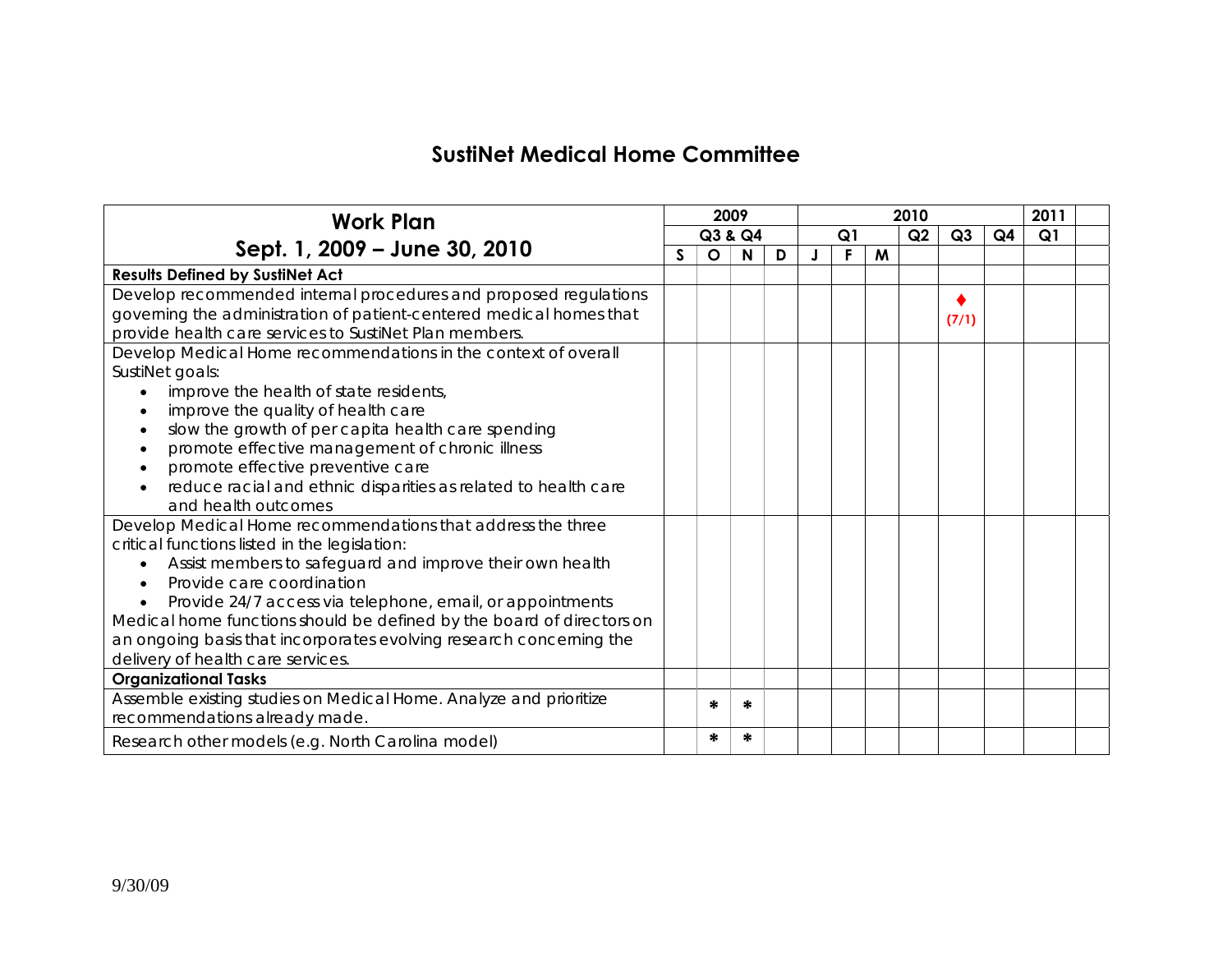## **SustiNet Medical Home Committee**

| <b>Work Plan</b>                                                      |         | 2009    |   |                      |   | 2011 |                |    |  |  |
|-----------------------------------------------------------------------|---------|---------|---|----------------------|---|------|----------------|----|--|--|
|                                                                       | Q3 & Q4 |         |   | Q2<br>Q <sub>1</sub> |   | Q3   | Q <sub>4</sub> | Q1 |  |  |
| Sept. 1, 2009 - June 30, 2010                                         | S       | $\circ$ | N | D                    | F | M    |                |    |  |  |
| <b>Results Defined by SustiNet Act</b>                                |         |         |   |                      |   |      |                |    |  |  |
| Develop recommended internal procedures and proposed regulations      |         |         |   |                      |   |      |                |    |  |  |
| governing the administration of patient-centered medical homes that   |         |         |   |                      |   |      | (7/1)          |    |  |  |
| provide health care services to SustiNet Plan members.                |         |         |   |                      |   |      |                |    |  |  |
| Develop Medical Home recommendations in the context of overall        |         |         |   |                      |   |      |                |    |  |  |
| SustiNet goals:                                                       |         |         |   |                      |   |      |                |    |  |  |
| improve the health of state residents,                                |         |         |   |                      |   |      |                |    |  |  |
| improve the quality of health care                                    |         |         |   |                      |   |      |                |    |  |  |
| slow the growth of per capita health care spending                    |         |         |   |                      |   |      |                |    |  |  |
| promote effective management of chronic illness                       |         |         |   |                      |   |      |                |    |  |  |
| promote effective preventive care                                     |         |         |   |                      |   |      |                |    |  |  |
| reduce racial and ethnic disparities as related to health care        |         |         |   |                      |   |      |                |    |  |  |
| and health outcomes                                                   |         |         |   |                      |   |      |                |    |  |  |
| Develop Medical Home recommendations that address the three           |         |         |   |                      |   |      |                |    |  |  |
| critical functions listed in the legislation:                         |         |         |   |                      |   |      |                |    |  |  |
| Assist members to safeguard and improve their own health              |         |         |   |                      |   |      |                |    |  |  |
| Provide care coordination                                             |         |         |   |                      |   |      |                |    |  |  |
| Provide 24/7 access via telephone, email, or appointments             |         |         |   |                      |   |      |                |    |  |  |
| Medical home functions should be defined by the board of directors on |         |         |   |                      |   |      |                |    |  |  |
| an ongoing basis that incorporates evolving research concerning the   |         |         |   |                      |   |      |                |    |  |  |
| delivery of health care services.                                     |         |         |   |                      |   |      |                |    |  |  |
| <b>Organizational Tasks</b>                                           |         |         |   |                      |   |      |                |    |  |  |
| Assemble existing studies on Medical Home. Analyze and prioritize     |         | ∗       | ∗ |                      |   |      |                |    |  |  |
| recommendations already made.                                         |         |         |   |                      |   |      |                |    |  |  |
| Research other models (e.g. North Carolina model)                     |         | ∗       | ∗ |                      |   |      |                |    |  |  |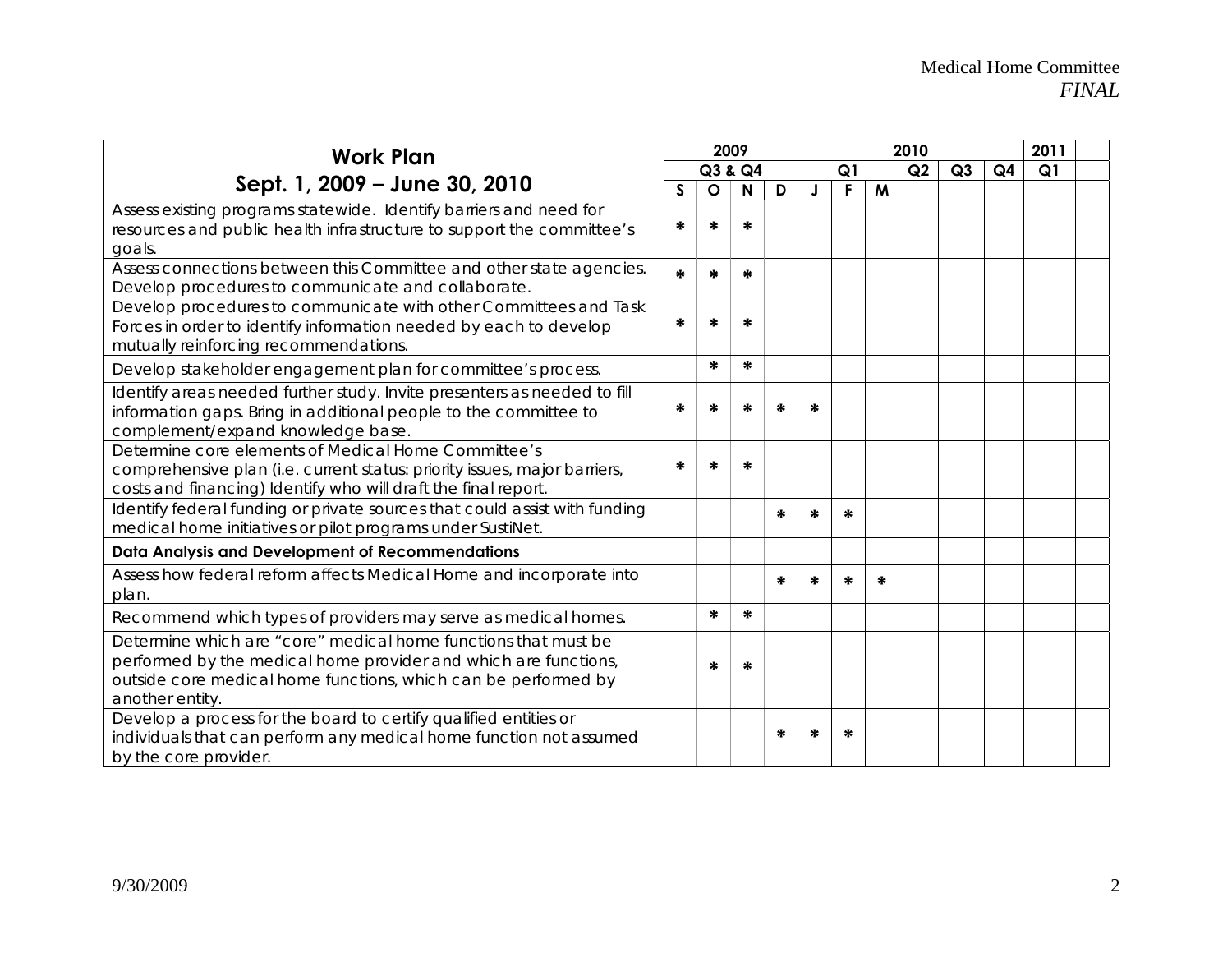| <b>Work Plan</b>                                                                                                                                                                                                       |   |              | 2009 |    |   |   | 2011 |    |                |    |  |  |
|------------------------------------------------------------------------------------------------------------------------------------------------------------------------------------------------------------------------|---|--------------|------|----|---|---|------|----|----------------|----|--|--|
|                                                                                                                                                                                                                        |   | Q3 & Q4      |      | Q1 |   |   | Q2   | Q3 | Q <sub>4</sub> | Q1 |  |  |
| Sept. 1, 2009 – June 30, 2010                                                                                                                                                                                          | S | $\mathbf{o}$ | N    | D  |   | F | M    |    |                |    |  |  |
| Assess existing programs statewide. Identify barriers and need for<br>resources and public health infrastructure to support the committee's                                                                            | ∗ | *            | *    |    |   |   |      |    |                |    |  |  |
| goals.                                                                                                                                                                                                                 |   |              |      |    |   |   |      |    |                |    |  |  |
| Assess connections between this Committee and other state agencies.<br>Develop procedures to communicate and collaborate.                                                                                              | ∗ | ∗            | ∗    |    |   |   |      |    |                |    |  |  |
| Develop procedures to communicate with other Committees and Task<br>Forces in order to identify information needed by each to develop<br>mutually reinforcing recommendations.                                         | ∗ | *            | ∗    |    |   |   |      |    |                |    |  |  |
| Develop stakeholder engagement plan for committee's process.                                                                                                                                                           |   | *            | ∗    |    |   |   |      |    |                |    |  |  |
| Identify areas needed further study. Invite presenters as needed to fill<br>information gaps. Bring in additional people to the committee to<br>complement/expand knowledge base.                                      | ∗ | ÷.           |      | ÷. |   |   |      |    |                |    |  |  |
| Determine core elements of Medical Home Committee's<br>comprehensive plan (i.e. current status: priority issues, major barriers,<br>costs and financing) Identify who will draft the final report.                     | ∗ | 光            | ∗    |    |   |   |      |    |                |    |  |  |
| Identify federal funding or private sources that could assist with funding<br>medical home initiatives or pilot programs under SustiNet.                                                                               |   |              |      | ∗  | ∗ | ∗ |      |    |                |    |  |  |
| Data Analysis and Development of Recommendations                                                                                                                                                                       |   |              |      |    |   |   |      |    |                |    |  |  |
| Assess how federal reform affects Medical Home and incorporate into<br>plan.                                                                                                                                           |   |              |      | ∗  | ∗ | ∗ | ∗    |    |                |    |  |  |
| Recommend which types of providers may serve as medical homes.                                                                                                                                                         |   | ₩            | ∗    |    |   |   |      |    |                |    |  |  |
| Determine which are "core" medical home functions that must be<br>performed by the medical home provider and which are functions,<br>outside core medical home functions, which can be performed by<br>another entity. |   | ∗            | ∗    |    |   |   |      |    |                |    |  |  |
| Develop a process for the board to certify qualified entities or<br>individuals that can perform any medical home function not assumed<br>by the core provider.                                                        |   |              |      | ∗  | ∗ | * |      |    |                |    |  |  |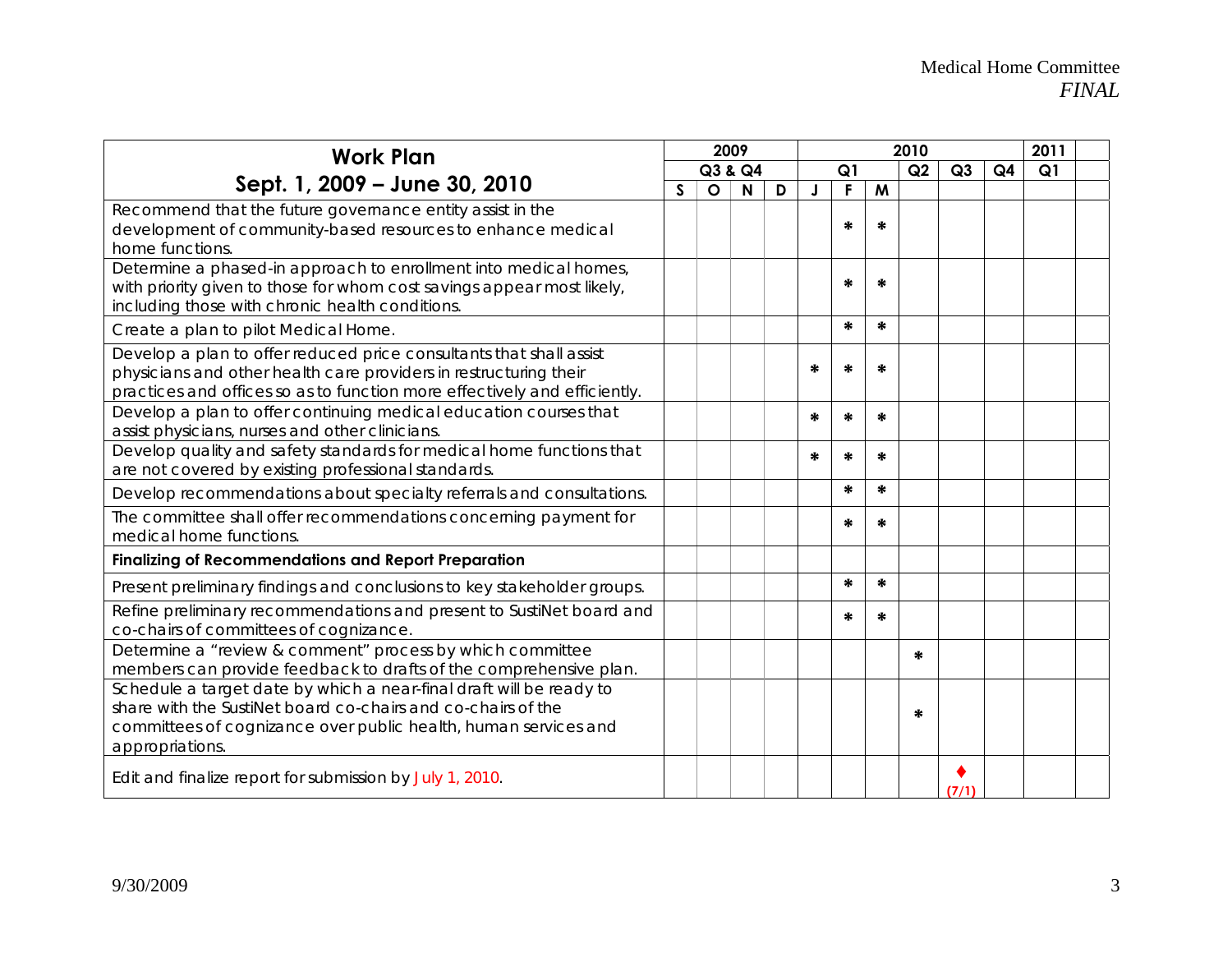| <b>Work Plan</b>                                                                                                                                                                                                          |              |              | 2009         |   | 2010 |        |    |    |                |                | 2011 |  |
|---------------------------------------------------------------------------------------------------------------------------------------------------------------------------------------------------------------------------|--------------|--------------|--------------|---|------|--------|----|----|----------------|----------------|------|--|
|                                                                                                                                                                                                                           | Q3 & Q4      |              |              |   | Q1   |        | Q2 | Q3 | Q <sub>4</sub> | Q <sub>1</sub> |      |  |
| Sept. 1, 2009 - June 30, 2010                                                                                                                                                                                             | $\mathsf{S}$ | $\mathsf{o}$ | $\mathsf{N}$ | D |      | F      | M  |    |                |                |      |  |
| Recommend that the future governance entity assist in the<br>development of community-based resources to enhance medical<br>home functions.                                                                               |              |              |              |   |      | ∗      | ∗  |    |                |                |      |  |
| Determine a phased-in approach to enrollment into medical homes,<br>with priority given to those for whom cost savings appear most likely,<br>including those with chronic health conditions.                             |              |              |              |   |      | ٠k     | 光  |    |                |                |      |  |
| Create a plan to pilot Medical Home.                                                                                                                                                                                      |              |              |              |   |      | ₩      | ∗  |    |                |                |      |  |
| Develop a plan to offer reduced price consultants that shall assist<br>physicians and other health care providers in restructuring their<br>practices and offices so as to function more effectively and efficiently.     |              |              |              |   | *    | *      | ∗  |    |                |                |      |  |
| Develop a plan to offer continuing medical education courses that<br>assist physicians, nurses and other clinicians.                                                                                                      |              |              |              |   | ∗    | ∗      | ∗  |    |                |                |      |  |
| Develop quality and safety standards for medical home functions that<br>are not covered by existing professional standards.                                                                                               |              |              |              |   | ∗    | ∗      | ∗  |    |                |                |      |  |
| Develop recommendations about specialty referrals and consultations.                                                                                                                                                      |              |              |              |   |      | $\ast$ | ∗  |    |                |                |      |  |
| The committee shall offer recommendations concerning payment for<br>medical home functions.                                                                                                                               |              |              |              |   |      | ∗      | ∗  |    |                |                |      |  |
| <b>Finalizing of Recommendations and Report Preparation</b>                                                                                                                                                               |              |              |              |   |      |        |    |    |                |                |      |  |
| Present preliminary findings and conclusions to key stakeholder groups.                                                                                                                                                   |              |              |              |   |      | ∗      | ∗  |    |                |                |      |  |
| Refine preliminary recommendations and present to SustiNet board and<br>co-chairs of committees of cognizance.                                                                                                            |              |              |              |   |      | ∗      | ∗  |    |                |                |      |  |
| Determine a "review & comment" process by which committee<br>members can provide feedback to drafts of the comprehensive plan.                                                                                            |              |              |              |   |      |        |    | *  |                |                |      |  |
| Schedule a target date by which a near-final draft will be ready to<br>share with the SustiNet board co-chairs and co-chairs of the<br>committees of cognizance over public health, human services and<br>appropriations. |              |              |              |   |      |        |    | ∗  |                |                |      |  |
| Edit and finalize report for submission by July 1, 2010.                                                                                                                                                                  |              |              |              |   |      |        |    |    | (7/1)          |                |      |  |